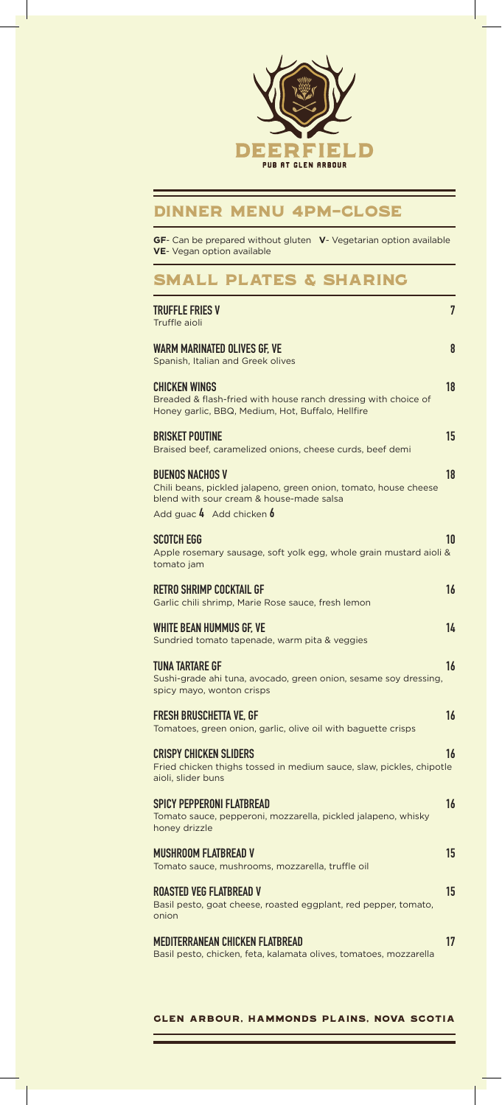

### Dinner Menu 4pm-close

**GF**- Can be prepared without gluten **V**- Vegetarian option available **VE**- Vegan option available

## SMALL PLATES & SHARING

| TRUFFLE FRIES V<br>Truffle aioli                                                                                                                                       | 7  |
|------------------------------------------------------------------------------------------------------------------------------------------------------------------------|----|
| WARM MARINATED OLIVES GF. VE<br>Spanish, Italian and Greek olives                                                                                                      | 8  |
| CHICKEN WINGS<br>Breaded & flash-fried with house ranch dressing with choice of<br>Honey garlic, BBQ, Medium, Hot, Buffalo, Hellfire                                   | 18 |
| <b>BRISKET POUTINE</b><br>Braised beef, caramelized onions, cheese curds, beef demi                                                                                    | 15 |
| <b>BUENOS NACHOS V</b><br>Chili beans, pickled jalapeno, green onion, tomato, house cheese<br>blend with sour cream & house-made salsa<br>Add guac $4$ Add chicken $6$ | 18 |
| SCOTCH EGG<br>Apple rosemary sausage, soft yolk egg, whole grain mustard aioli &<br>tomato jam                                                                         | 10 |
| RETRO SHRIMP COCKTAIL GF<br>Garlic chili shrimp, Marie Rose sauce, fresh lemon                                                                                         | 16 |
| <b>WHITE BEAN HUMMUS GF. VE</b><br>Sundried tomato tapenade, warm pita & veggies                                                                                       | 14 |
| <b>TUNA TARTARE GF</b><br>Sushi-grade ahi tuna, avocado, green onion, sesame soy dressing,<br>spicy mayo, wonton crisps                                                | 16 |
| <b>FRESH BRUSCHETTA VE. GF</b><br>Tomatoes, green onion, garlic, olive oil with baguette crisps                                                                        | 16 |
| <b>CRISPY CHICKEN SLIDERS</b><br>Fried chicken thighs tossed in medium sauce, slaw, pickles, chipotle<br>aioli, slider buns                                            | 16 |
| SPICY PEPPERONI FLATBREAD<br>Tomato sauce, pepperoni, mozzarella, pickled jalapeno, whisky<br>honey drizzle                                                            | 16 |
| <b>MUSHROOM FLATBREAD V</b><br>Tomato sauce, mushrooms, mozzarella, truffle oil                                                                                        | 15 |
| <b>ROASTED VEG FLATBREAD V</b><br>Basil pesto, goat cheese, roasted eggplant, red pepper, tomato,<br>onion                                                             | 15 |
| MEDITERRANEAN CHICKEN FLATBREAD<br>Basil pesto, chicken, feta, kalamata olives, tomatoes, mozzarella                                                                   | 17 |
|                                                                                                                                                                        |    |

Glen Arbour, Hammonds Plains, Nova Scotia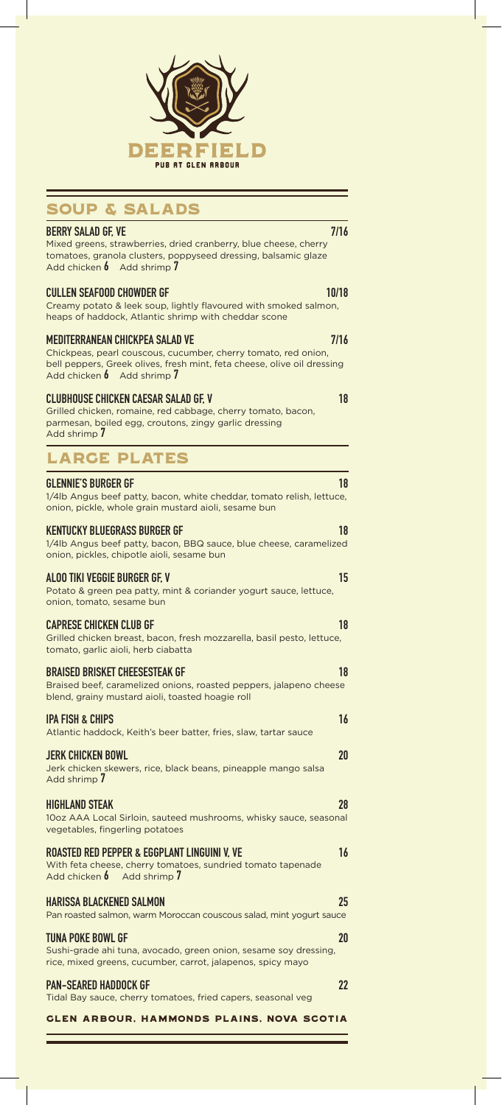

## SOUP & SALADS

#### Glen Arbour, Hammonds Plains, Nova Scotia BERRY SALAD GF, VE 7/16 Mixed greens, strawberries, dried cranberry, blue cheese, cherry tomatoes, granola clusters, poppyseed dressing, balsamic glaze Add chicken 6 Add shrimp 7 CULLEN SEAFOOD CHOWDER GF 10/18 Creamy potato & leek soup, lightly flavoured with smoked salmon, heaps of haddock, Atlantic shrimp with cheddar scone MEDITERRANEAN CHICKPEA SALAD VE 7/16 Chickpeas, pearl couscous, cucumber, cherry tomato, red onion, bell peppers, Greek olives, fresh mint, feta cheese, olive oil dressing Add chicken 6 Add shrimp 7 CLUBHOUSE CHICKEN CAESAR SALAD GF. V Grilled chicken, romaine, red cabbage, cherry tomato, bacon, parmesan, boiled egg, croutons, zingy garlic dressing Add shrimp 7 LARGE PLATES GLENNIE'S BURGER GF 18 AND 18 AND 18 AND 18 1/4lb Angus beef patty, bacon, white cheddar, tomato relish, lettuce, onion, pickle, whole grain mustard aioli, sesame bun KENTUCKY BLUEGRASS BURGER GF 18 18 1/4lb Angus beef patty, bacon, BBQ sauce, blue cheese, caramelized onion, pickles, chipotle aioli, sesame bun ALOO TIKI VEGGIE BURGER GF. V Potato & green pea patty, mint & coriander yogurt sauce, lettuce, onion, tomato, sesame bun CAPRESE CHICKEN CLUB GF 18 Grilled chicken breast, bacon, fresh mozzarella, basil pesto, lettuce, tomato, garlic aioli, herb ciabatta BRAISED BRISKET CHEESESTEAK GF 18 Braised beef, caramelized onions, roasted peppers, jalapeno cheese blend, grainy mustard aioli, toasted hoagie roll **IPA FISH & CHIPS** 16 and 20 and 20 and 20 and 20 and 20 and 20 and 20 and 20 and 20 and 20 and 20 and 20 and 20 Atlantic haddock, Keith's beer batter, fries, slaw, tartar sauce JERK CHICKEN BOWL 20 Jerk chicken skewers, rice, black beans, pineapple mango salsa Add shrimp 7 HIGHLAND STEAK 28 10oz AAA Local Sirloin, sauteed mushrooms, whisky sauce, seasonal vegetables, fingerling potatoes ROASTED RED PEPPER & EGGPLANT LINGUINI V, VE 16 With feta cheese, cherry tomatoes, sundried tomato tapenade<br>Add chicken  $\oint$  Add shrimp  $\hat{I}$ Add shrimp 7 HARISSA BLACKENED SALMON 25 Pan roasted salmon, warm Moroccan couscous salad, mint yogurt sauce TUNA POKE BOWL GF 20 Sushi-grade ahi tuna, avocado, green onion, sesame soy dressing, rice, mixed greens, cucumber, carrot, jalapenos, spicy mayo PAN-SEARED HADDOCK GF 22 Tidal Bay sauce, cherry tomatoes, fried capers, seasonal veg